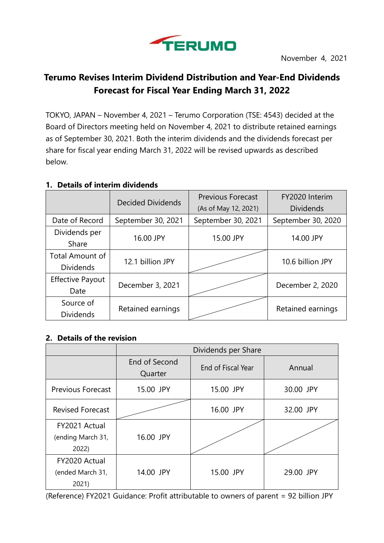

# **Terumo Revises Interim Dividend Distribution and Year-End Dividends Forecast for Fiscal Year Ending March 31, 2022**

TOKYO, JAPAN – November 4, 2021 – Terumo Corporation (TSE: 4543) decided at the Board of Directors meeting held on November 4, 2021 to distribute retained earnings as of September 30, 2021. Both the interim dividends and the dividends forecast per share for fiscal year ending March 31, 2022 will be revised upwards as described below.

## **1. Details of interim dividends**

|                         | <b>Decided Dividends</b> | <b>Previous Forecast</b> | FY2020 Interim     |
|-------------------------|--------------------------|--------------------------|--------------------|
|                         |                          | (As of May 12, 2021)     | <b>Dividends</b>   |
| Date of Record          | September 30, 2021       | September 30, 2021       | September 30, 2020 |
| Dividends per           |                          |                          |                    |
| Share                   | 16.00 JPY                | 15.00 JPY                | 14.00 JPY          |
| <b>Total Amount of</b>  | 12.1 billion JPY         |                          | 10.6 billion JPY   |
| <b>Dividends</b>        |                          |                          |                    |
| <b>Effective Payout</b> | December 3, 2021         |                          | December 2, 2020   |
| Date                    |                          |                          |                    |
| Source of               |                          |                          |                    |
| <b>Dividends</b>        | Retained earnings        |                          | Retained earnings  |

## **2. Details of the revision**

|                                            | Dividends per Share      |                    |           |
|--------------------------------------------|--------------------------|--------------------|-----------|
|                                            | End of Second<br>Quarter | End of Fiscal Year | Annual    |
| <b>Previous Forecast</b>                   | 15.00 JPY                | 15.00 JPY          | 30.00 JPY |
| <b>Revised Forecast</b>                    |                          | 16.00 JPY          | 32.00 JPY |
| FY2021 Actual<br>(ending March 31,<br>2022 | 16.00 JPY                |                    |           |
| FY2020 Actual<br>(ended March 31,<br>2021) | 14.00 JPY                | 15.00 JPY          | 29.00 JPY |

(Reference) FY2021 Guidance: Profit attributable to owners of parent = 92 billion JPY